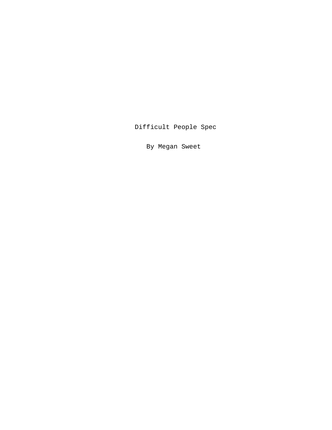Difficult People Spec

By Megan Sweet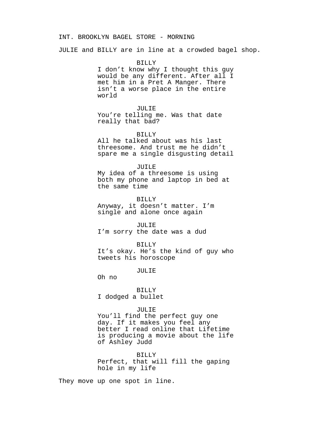## INT. BROOKLYN BAGEL STORE - MORNING

JULIE and BILLY are in line at a crowded bagel shop.

BILLY I don't know why I thought this guy would be any different. After all I met him in a Pret A Manger. There isn't a worse place in the entire world

JULIE You're telling me. Was that date really that bad?

#### BILLY

All he talked about was his last threesome. And trust me he didn't spare me a single disgusting detail

#### JUILE

My idea of a threesome is using both my phone and laptop in bed at the same time

BILLY

Anyway, it doesn't matter. I'm single and alone once again

JULIE I'm sorry the date was a dud

## BILLY

It's okay. He's the kind of guy who tweets his horoscope

JULIE

Oh no

# BILLY I dodged a bullet

## JULIE

You'll find the perfect guy one day. If it makes you feel any better I read online that Lifetime is producing a movie about the life of Ashley Judd

BILLY Perfect, that will fill the gaping hole in my life

They move up one spot in line.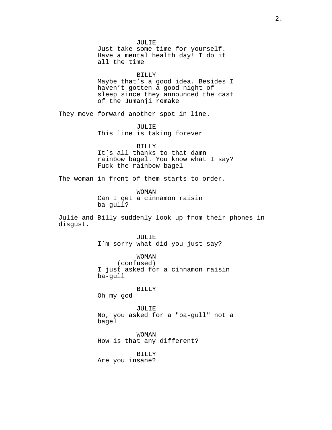JULIE Just take some time for yourself. Have a mental health day! I do it all the time BILLY Maybe that's a good idea. Besides I haven't gotten a good night of sleep since they announced the cast of the Jumanji remake They move forward another spot in line. JULIE This line is taking forever BILLY It's all thanks to that damn rainbow bagel. You know what I say? Fuck the rainbow bagel The woman in front of them starts to order. WOMAN Can I get a cinnamon raisin ba-gull? Julie and Billy suddenly look up from their phones in disgust. JULIE I'm sorry what did you just say? WOMAN (confused) I just asked for a cinnamon raisin ba-gull BILLY Oh my god JULIE No, you asked for a "ba-gull" not a bagel WOMAN How is that any different? BILLY Are you insane?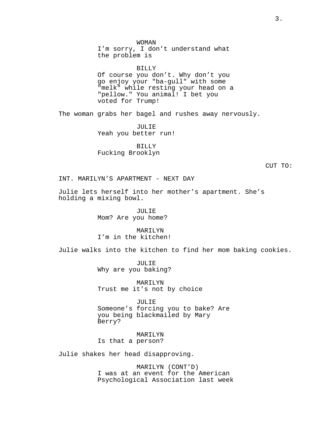WOMAN I'm sorry, I don't understand what the problem is

#### BILLY

Of course you don't. Why don't you go enjoy your "ba-gull" with some "melk" while resting your head on a "pellow." You animal! I bet you voted for Trump!

The woman grabs her bagel and rushes away nervously.

JULIE Yeah you better run!

BILLY Fucking Brooklyn

CUT TO:

INT. MARILYN'S APARTMENT - NEXT DAY

Julie lets herself into her mother's apartment. She's holding a mixing bowl.

> JULIE Mom? Are you home?

MARILYN I'm in the kitchen!

Julie walks into the kitchen to find her mom baking cookies.

JULIE Why are you baking?

MARILYN Trust me it's not by choice

JULIE Someone's forcing you to bake? Are you being blackmailed by Mary Berry?

MARILYN Is that a person?

Julie shakes her head disapproving.

MARILYN (CONT'D) I was at an event for the American Psychological Association last week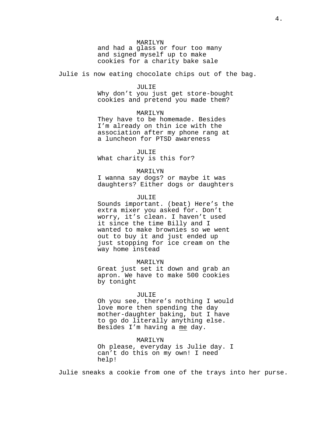MARILYN

and had a glass or four too many and signed myself up to make cookies for a charity bake sale

Julie is now eating chocolate chips out of the bag.

#### JULIE

Why don't you just get store-bought cookies and pretend you made them?

# MARILYN

They have to be homemade. Besides I'm already on thin ice with the association after my phone rang at a luncheon for PTSD awareness

# JULIE

What charity is this for?

#### MARILYN

I wanna say dogs? or maybe it was daughters? Either dogs or daughters

# JULIE

Sounds important. (beat) Here's the extra mixer you asked for. Don't worry, it's clean. I haven't used it since the time Billy and I wanted to make brownies so we went out to buy it and just ended up just stopping for ice cream on the way home instead

#### MARILYN

Great just set it down and grab an apron. We have to make 500 cookies by tonight

#### JULIE

Oh you see, there's nothing I would love more then spending the day mother-daughter baking, but I have to go do literally anything else. Besides I'm having a me day.

## MARILYN

Oh please, everyday is Julie day. I can't do this on my own! I need help!

Julie sneaks a cookie from one of the trays into her purse.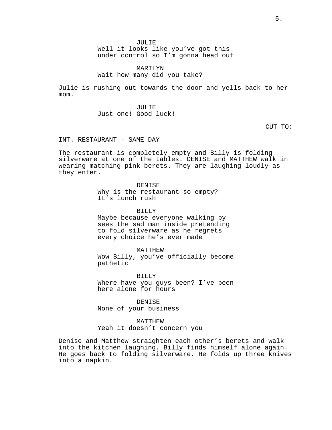JULIE

Well it looks like you've got this under control so I'm gonna head out

MARILYN Wait how many did you take?

Julie is rushing out towards the door and yells back to her mom.

> JULIE Just one! Good luck!

> > CUT TO:

INT. RESTAURANT - SAME DAY

The restaurant is completely empty and Billy is folding silverware at one of the tables. DENISE and MATTHEW walk in wearing matching pink berets. They are laughing loudly as they enter.

DENISE

Why is the restaurant so empty? It's lunch rush

BILLY

Maybe because everyone walking by sees the sad man inside pretending to fold silverware as he regrets every choice he's ever made

MATTHEW

Wow Billy, you've officially become pathetic

BILLY Where have you guys been? I've been here alone for hours

DENISE None of your business

MATTHEW Yeah it doesn't concern you

Denise and Matthew straighten each other's berets and walk into the kitchen laughing. Billy finds himself alone again. He goes back to folding silverware. He folds up three knives into a napkin.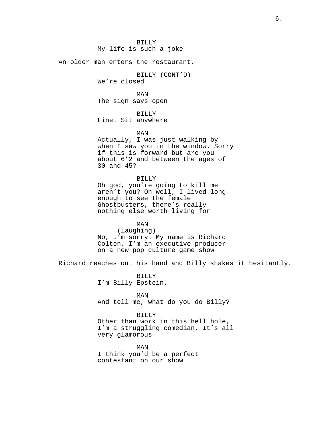BILLY My life is such a joke

An older man enters the restaurant.

BILLY (CONT'D) We're closed

MAN The sign says open

BILLY Fine. Sit anywhere

MAN

Actually, I was just walking by when I saw you in the window. Sorry if this is forward but are you about 6'2 and between the ages of 30 and 45?

BILLY

Oh god, you're going to kill me aren't you? Oh well, I lived long enough to see the female Ghostbusters, there's really nothing else worth living for

MAN (laughing) No, I'm sorry. My name is Richard Colten. I'm an executive producer on a new pop culture game show

Richard reaches out his hand and Billy shakes it hesitantly.

BILLY I'm Billy Epstein.

MAN And tell me, what do you do Billy?

BILLY Other than work in this hell hole, I'm a struggling comedian. It's all very glamorous

MAN I think you'd be a perfect contestant on our show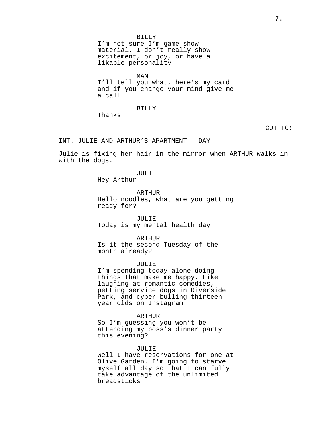BILLY I'm not sure I'm game show material. I don't really show excitement, or joy, or have a likable personality

MAN I'll tell you what, here's my card and if you change your mind give me a call

BILLY

Thanks

# CUT TO:

INT. JULIE AND ARTHUR'S APARTMENT - DAY

Julie is fixing her hair in the mirror when ARTHUR walks in with the dogs.

# JULIE

Hey Arthur

ARTHUR Hello noodles, what are you getting ready for?

JULIE Today is my mental health day

## ARTHUR

Is it the second Tuesday of the month already?

#### JULIE

I'm spending today alone doing things that make me happy. Like laughing at romantic comedies, petting service dogs in Riverside Park, and cyber-bulling thirteen year olds on Instagram

### ARTHUR

So I'm guessing you won't be attending my boss's dinner party this evening?

#### JULIE

Well I have reservations for one at Olive Garden. I'm going to starve myself all day so that I can fully take advantage of the unlimited breadsticks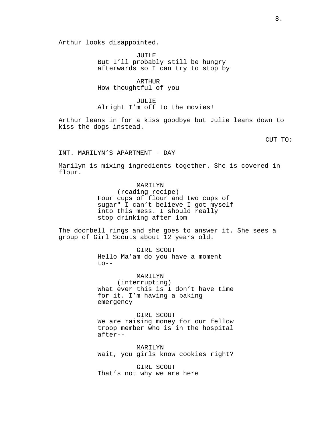Arthur looks disappointed.

JUILE But I'll probably still be hungry afterwards so I can try to stop by

ARTHUR How thoughtful of you

JULIE Alright I'm off to the movies!

Arthur leans in for a kiss goodbye but Julie leans down to kiss the dogs instead.

CUT TO:

INT. MARILYN'S APARTMENT - DAY

Marilyn is mixing ingredients together. She is covered in flour.

# MARILYN

(reading recipe) Four cups of flour and two cups of sugar" I can't believe I got myself into this mess. I should really stop drinking after 1pm

The doorbell rings and she goes to answer it. She sees a group of Girl Scouts about 12 years old.

> GIRL SCOUT Hello Ma'am do you have a moment  $to - -$

## MARILYN

(interrupting) What ever this is I don't have time for it. I'm having a baking emergency

GIRL SCOUT We are raising money for our fellow troop member who is in the hospital after--

MARILYN Wait, you girls know cookies right?

GIRL SCOUT That's not why we are here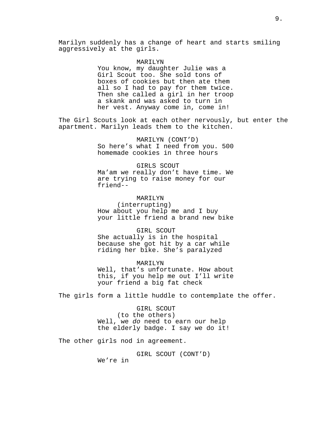## MARILYN

You know, my daughter Julie was a Girl Scout too. She sold tons of boxes of cookies but then ate them all so I had to pay for them twice. Then she called a girl in her troop a skank and was asked to turn in her vest. Anyway come in, come in!

The Girl Scouts look at each other nervously, but enter the apartment. Marilyn leads them to the kitchen.

> MARILYN (CONT'D) So here's what I need from you. 500 homemade cookies in three hours

## GIRLS SCOUT

Ma'am we really don't have time. We are trying to raise money for our friend--

# MARILYN

(interrupting) How about you help me and I buy your little friend a brand new bike

#### GIRL SCOUT

She actually is in the hospital because she got hit by a car while riding her bike. She's paralyzed

# MARILYN Well, that's unfortunate. How about

this, if you help me out I'll write your friend a big fat check

The girls form a little huddle to contemplate the offer.

# GIRL SCOUT (to the others) Well, we *do* need to earn our help the elderly badge. I say we do it!

The other girls nod in agreement.

GIRL SCOUT (CONT'D)

We're in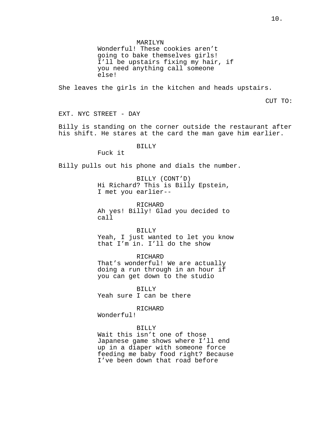MARILYN

Wonderful! These cookies aren't going to bake themselves girls! I'll be upstairs fixing my hair, if you need anything call someone else!

She leaves the girls in the kitchen and heads upstairs.

CUT TO:

EXT. NYC STREET - DAY

Billy is standing on the corner outside the restaurant after his shift. He stares at the card the man gave him earlier.

# BILLY

Fuck it

Billy pulls out his phone and dials the number.

BILLY (CONT'D) Hi Richard? This is Billy Epstein, I met you earlier--

RICHARD Ah yes! Billy! Glad you decided to call

BILLY

Yeah, I just wanted to let you know that I'm in. I'll do the show

RICHARD That's wonderful! We are actually doing a run through in an hour if you can get down to the studio

BILLY Yeah sure I can be there

RICHARD

Wonderful!

# BILLY

Wait this isn't one of those Japanese game shows where I'll end up in a diaper with someone force feeding me baby food right? Because I've been down that road before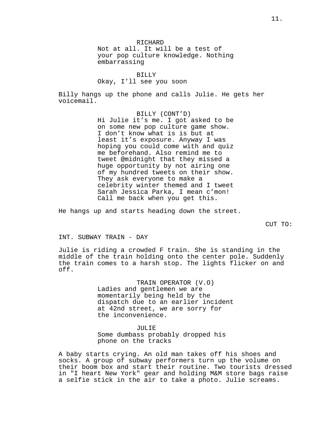RICHARD Not at all. It will be a test of your pop culture knowledge. Nothing embarrassing

BILLY Okay, I'll see you soon

Billy hangs up the phone and calls Julie. He gets her voicemail.

> BILLY (CONT'D) Hi Julie it's me. I got asked to be on some new pop culture game show. I don't know what is is but at least it's exposure. Anyway I was hoping you could come with and quiz me beforehand. Also remind me to tweet @midnight that they missed a huge opportunity by not airing one of my hundred tweets on their show. They ask everyone to make a celebrity winter themed and I tweet Sarah Jessica Parka, I mean c'mon! Call me back when you get this.

He hangs up and starts heading down the street.

CUT TO:

### INT. SUBWAY TRAIN - DAY

Julie is riding a crowded F train. She is standing in the middle of the train holding onto the center pole. Suddenly the train comes to a harsh stop. The lights flicker on and off.

> TRAIN OPERATOR (V.O) Ladies and gentlemen we are momentarily being held by the dispatch due to an earlier incident at 42nd street, we are sorry for the inconvenience.

JULIE Some dumbass probably dropped his phone on the tracks

A baby starts crying. An old man takes off his shoes and socks. A group of subway performers turn up the volume on their boom box and start their routine. Two tourists dressed in "I heart New York" gear and holding M&M store bags raise a selfie stick in the air to take a photo. Julie screams.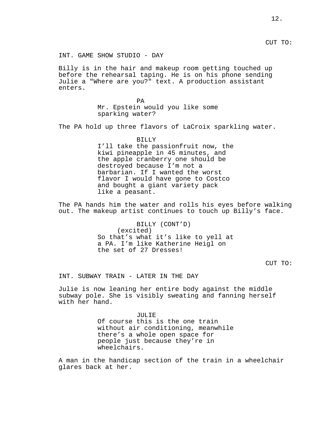CUT TO:

INT. GAME SHOW STUDIO - DAY

Billy is in the hair and makeup room getting touched up before the rehearsal taping. He is on his phone sending Julie a "Where are you?" text. A production assistant enters.

> PA Mr. Epstein would you like some sparking water?

The PA hold up three flavors of LaCroix sparkling water.

BILLY I'll take the passionfruit now, the kiwi pineapple in 45 minutes, and the apple cranberry one should be destroyed because I'm not a barbarian. If I wanted the worst flavor I would have gone to Costco and bought a giant variety pack like a peasant.

The PA hands him the water and rolls his eyes before walking out. The makeup artist continues to touch up Billy's face.

> BILLY (CONT'D) (excited) So that's what it's like to yell at a PA. I'm like Katherine Heigl on the set of 27 Dresses!

> > CUT TO:

INT. SUBWAY TRAIN - LATER IN THE DAY

Julie is now leaning her entire body against the middle subway pole. She is visibly sweating and fanning herself with her hand.

> JULIE Of course this is the one train without air conditioning, meanwhile there's a whole open space for people just because they're in wheelchairs.

A man in the handicap section of the train in a wheelchair glares back at her.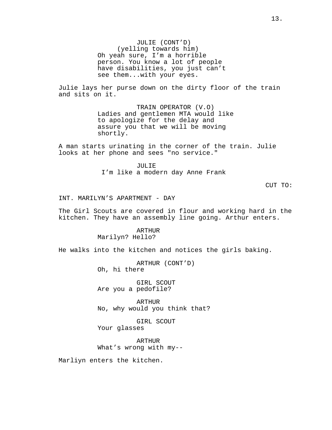JULIE (CONT'D) (yelling towards him) Oh yeah sure, I'm a horrible person. You know a lot of people have disabilities, you just can't see them...with your eyes.

Julie lays her purse down on the dirty floor of the train and sits on it.

> TRAIN OPERATOR (V.O) Ladies and gentlemen MTA would like to apologize for the delay and assure you that we will be moving shortly.

A man starts urinating in the corner of the train. Julie looks at her phone and sees "no service."

> JULIE I'm like a modern day Anne Frank

> > CUT TO:

INT. MARILYN'S APARTMENT - DAY

The Girl Scouts are covered in flour and working hard in the kitchen. They have an assembly line going. Arthur enters.

> ARTHUR Marilyn? Hello?

He walks into the kitchen and notices the girls baking.

ARTHUR (CONT'D) Oh, hi there

GIRL SCOUT Are you a pedofile?

ARTHUR No, why would you think that?

GIRL SCOUT Your glasses

ARTHUR What's wrong with my--

Marliyn enters the kitchen.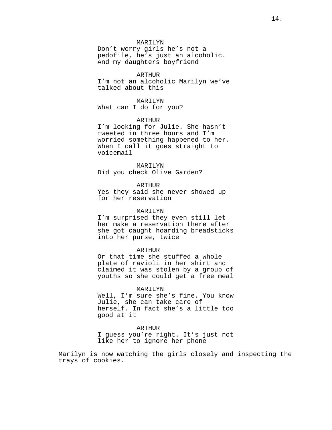## MARILYN

Don't worry girls he's not a pedofile, he's just an alcoholic. And my daughters boyfriend

# ARTHUR

I'm not an alcoholic Marilyn we've talked about this

## MARILYN

What can I do for you?

# ARTHUR

I'm looking for Julie. She hasn't tweeted in three hours and I'm worried something happened to her. When I call it goes straight to voicemail

#### MARILYN

Did you check Olive Garden?

# ARTHUR

Yes they said she never showed up for her reservation

## MARILYN

I'm surprised they even still let her make a reservation there after she got caught hoarding breadsticks into her purse, twice

#### ARTHUR

Or that time she stuffed a whole plate of ravioli in her shirt and claimed it was stolen by a group of youths so she could get a free meal

#### MARILYN

Well, I'm sure she's fine. You know Julie, she can take care of herself. In fact she's a little too good at it

# ARTHUR

I guess you're right. It's just not like her to ignore her phone

Marilyn is now watching the girls closely and inspecting the trays of cookies.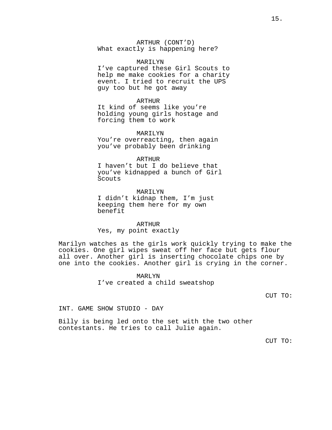ARTHUR (CONT'D) What exactly is happening here?

# MARILYN

I've captured these Girl Scouts to help me make cookies for a charity event. I tried to recruit the UPS guy too but he got away

#### ARTHUR

It kind of seems like you're holding young girls hostage and forcing them to work

## MARILYN

You're overreacting, then again you've probably been drinking

## ARTHUR

I haven't but I do believe that you've kidnapped a bunch of Girl Scouts

# MARILYN I didn't kidnap them, I'm just keeping them here for my own benefit

ARTHUR Yes, my point exactly

Marilyn watches as the girls work quickly trying to make the cookies. One girl wipes sweat off her face but gets flour all over. Another girl is inserting chocolate chips one by one into the cookies. Another girl is crying in the corner.

> MARLYN I've created a child sweatshop

> > CUT TO:

INT. GAME SHOW STUDIO - DAY

Billy is being led onto the set with the two other contestants. He tries to call Julie again.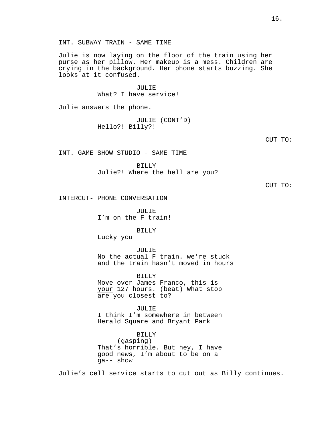INT. SUBWAY TRAIN - SAME TIME

Julie is now laying on the floor of the train using her purse as her pillow. Her makeup is a mess. Children are crying in the background. Her phone starts buzzing. She looks at it confused.

> JULIE What? I have service!

Julie answers the phone.

JULIE (CONT'D) Hello?! Billy?!

CUT TO:

INT. GAME SHOW STUDIO - SAME TIME

BILLY

Julie?! Where the hell are you?

CUT TO:

INTERCUT- PHONE CONVERSATION

JULIE I'm on the F train!

BILLY

Lucky you

JULIE No the actual F train. we're stuck and the train hasn't moved in hours

BILLY Move over James Franco, this is your 127 hours. (beat) What stop are you closest to?

JULIE I think I'm somewhere in between Herald Square and Bryant Park

BILLY (gasping) That's horrible. But hey, I have good news, I'm about to be on a ga-- show

Julie's cell service starts to cut out as Billy continues.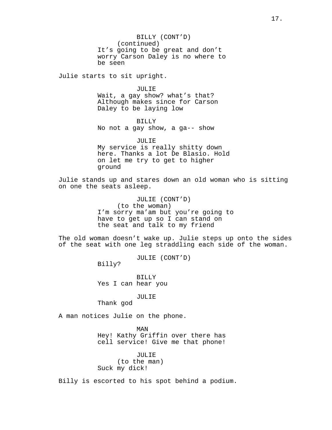BILLY (CONT'D) (continued) It's going to be great and don't worry Carson Daley is no where to be seen

Julie starts to sit upright.

JULIE Wait, a gay show? what's that? Although makes since for Carson Daley to be laying low

BILLY No not a gay show, a ga-- show

JULIE My service is really shitty down here. Thanks a lot De Blasio. Hold on let me try to get to higher ground

Julie stands up and stares down an old woman who is sitting on one the seats asleep.

> JULIE (CONT'D) (to the woman) I'm sorry ma'am but you're going to have to get up so I can stand on the seat and talk to my friend

The old woman doesn't wake up. Julie steps up onto the sides of the seat with one leg straddling each side of the woman.

JULIE (CONT'D)

Billy?

BILLY Yes I can hear you

JULIE

Thank god

A man notices Julie on the phone.

MAN Hey! Kathy Griffin over there has cell service! Give me that phone!

JULIE (to the man) Suck my dick!

Billy is escorted to his spot behind a podium.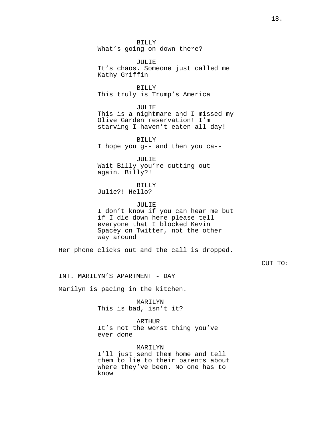BILLY What's going on down there?

JULIE It's chaos. Someone just called me Kathy Griffin

BILLY This truly is Trump's America

JULIE This is a nightmare and I missed my Olive Garden reservation! I'm starving I haven't eaten all day!

BILLY I hope you g-- and then you ca--

JULIE Wait Billy you're cutting out again. Billy?!

BILLY

Julie?! Hello?

JULIE I don't know if you can hear me but if I die down here please tell everyone that I blocked Kevin Spacey on Twitter, not the other way around

Her phone clicks out and the call is dropped.

CUT TO:

INT. MARILYN'S APARTMENT - DAY

Marilyn is pacing in the kitchen.

MARILYN This is bad, isn't it?

ARTHUR It's not the worst thing you've ever done

MARILYN

I'll just send them home and tell them to lie to their parents about where they've been. No one has to know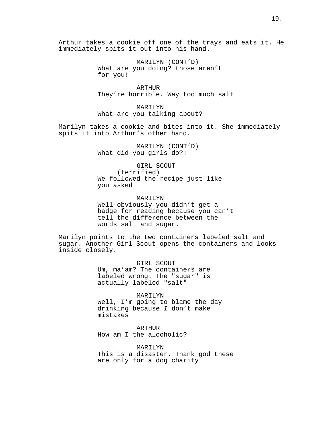Arthur takes a cookie off one of the trays and eats it. He immediately spits it out into his hand.

> MARILYN (CONT'D) What are you doing? those aren't for you!

ARTHUR They're horrible. Way too much salt

MARILYN What are you talking about?

Marilyn takes a cookie and bites into it. She immediately spits it into Arthur's other hand.

> MARILYN (CONT'D) What did you girls do?!

GIRL SCOUT (terrified) We followed the recipe just like you asked

MAR TI<sub>.</sub>YN Well obviously you didn't get a badge for reading because you can't tell the difference between the words salt and sugar.

Marilyn points to the two containers labeled salt and sugar. Another Girl Scout opens the containers and looks inside closely.

> GIRL SCOUT Um, ma'am? The containers are labeled wrong. The "sugar" is actually labeled "salt"

> > MARILYN

Well, I'm going to blame the day drinking because *I* don't make mistakes

ARTHUR How am I the alcoholic?

MARILYN This is a disaster. Thank god these are only for a dog charity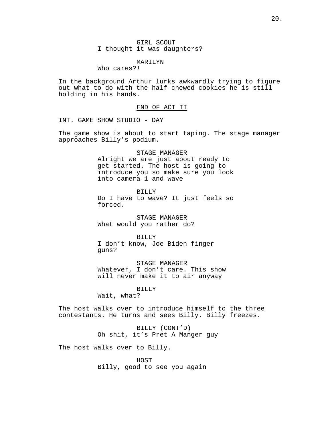GIRL SCOUT I thought it was daughters?

# MARILYN

Who cares?!

In the background Arthur lurks awkwardly trying to figure out what to do with the half-chewed cookies he is still holding in his hands.

## END OF ACT II

INT. GAME SHOW STUDIO - DAY

The game show is about to start taping. The stage manager approaches Billy's podium.

# STAGE MANAGER

Alright we are just about ready to get started. The host is going to introduce you so make sure you look into camera 1 and wave

BILLY Do I have to wave? It just feels so forced.

STAGE MANAGER What would you rather do?

BILLY I don't know, Joe Biden finger guns?

STAGE MANAGER Whatever, I don't care. This show will never make it to air anyway

BILLY

Wait, what?

The host walks over to introduce himself to the three contestants. He turns and sees Billy. Billy freezes.

> BILLY (CONT'D) Oh shit, it's Pret A Manger guy

The host walks over to Billy.

HOST Billy, good to see you again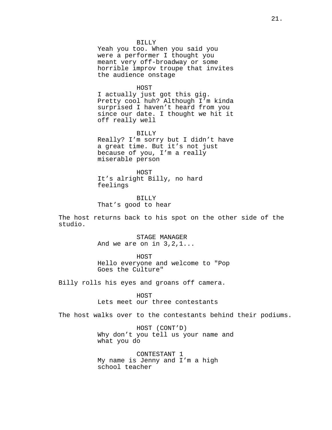#### BILLY

Yeah you too. When you said you were a performer I thought you meant very off-broadway or some horrible improv troupe that invites the audience onstage

#### HOST

I actually just got this gig. Pretty cool huh? Although I'm kinda surprised I haven't heard from you since our date. I thought we hit it off really well

#### BILLY

Really? I'm sorry but I didn't have a great time. But it's not just because of you, I'm a really miserable person

HOST It's alright Billy, no hard feelings

BILLY That's good to hear

The host returns back to his spot on the other side of the studio.

> STAGE MANAGER And we are on in 3,2,1...

HOST Hello everyone and welcome to "Pop Goes the Culture"

Billy rolls his eyes and groans off camera.

HOST Lets meet our three contestants

The host walks over to the contestants behind their podiums.

HOST (CONT'D) Why don't you tell us your name and what you do

CONTESTANT 1 My name is Jenny and I'm a high school teacher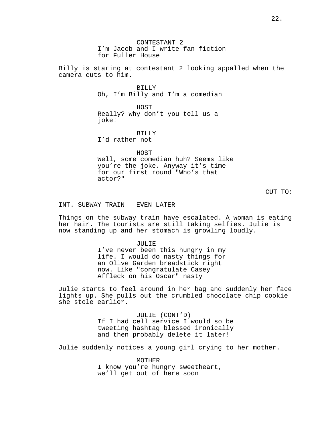CONTESTANT 2 I'm Jacob and I write fan fiction for Fuller House

Billy is staring at contestant 2 looking appalled when the camera cuts to him.

> **BILLY** Oh, I'm Billy and I'm a comedian

HOST Really? why don't you tell us a joke!

BILLY I'd rather not

HOST Well, some comedian huh? Seems like you're the joke. Anyway it's time for our first round "Who's that actor?"

CUT TO:

INT. SUBWAY TRAIN - EVEN LATER

Things on the subway train have escalated. A woman is eating her hair. The tourists are still taking selfies. Julie is now standing up and her stomach is growling loudly.

> JULIE I've never been this hungry in my life. I would do nasty things for an Olive Garden breadstick right now. Like "congratulate Casey Affleck on his Oscar" nasty

Julie starts to feel around in her bag and suddenly her face lights up. She pulls out the crumbled chocolate chip cookie she stole earlier.

> JULIE (CONT'D) If I had cell service I would so be tweeting hashtag blessed ironically and then probably delete it later!

Julie suddenly notices a young girl crying to her mother.

MOTHER I know you're hungry sweetheart, we'll get out of here soon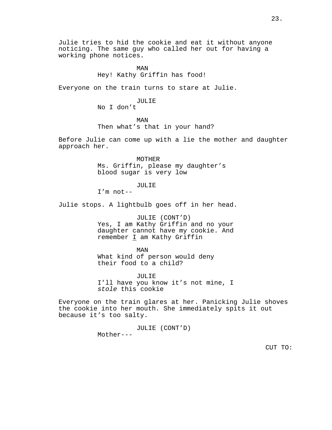Julie tries to hid the cookie and eat it without anyone noticing. The same guy who called her out for having a working phone notices.

# MAN Hey! Kathy Griffin has food!

Everyone on the train turns to stare at Julie.

#### JULIE

No I don't

MAN Then what's that in your hand?

Before Julie can come up with a lie the mother and daughter approach her.

> MOTHER Ms. Griffin, please my daughter's blood sugar is very low

# JULIE

I'm not--

Julie stops. A lightbulb goes off in her head.

JULIE (CONT'D) Yes, I am Kathy Griffin and no your daughter cannot have my cookie. And remember I am Kathy Griffin

### MAN

What kind of person would deny their food to a child?

JULIE I'll have you know it's not mine, I *stole* this cookie

Everyone on the train glares at her. Panicking Julie shoves the cookie into her mouth. She immediately spits it out because it's too salty.

> JULIE (CONT'D) Mother---

> > CUT TO: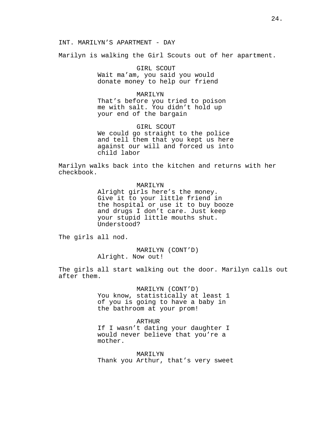# INT. MARILYN'S APARTMENT - DAY

Marilyn is walking the Girl Scouts out of her apartment.

GIRL SCOUT Wait ma'am, you said you would donate money to help our friend

# MARILYN

That's before you tried to poison me with salt. You didn't hold up your end of the bargain

GIRL SCOUT We could go straight to the police and tell them that you kept us here against our will and forced us into child labor

Marilyn walks back into the kitchen and returns with her checkbook.

# MARILYN

Alright girls here's the money. Give it to your little friend in the hospital or use it to buy booze and drugs I don't care. Just keep your stupid little mouths shut. Understood?

The girls all nod.

MARILYN (CONT'D) Alright. Now out!

The girls all start walking out the door. Marilyn calls out after them.

MARILYN (CONT'D)

You know, statistically at least 1 of you is going to have a baby in the bathroom at your prom!

# ARTHUR

If I wasn't dating your daughter I would never believe that you're a mother.

MARILYN Thank you Arthur, that's very sweet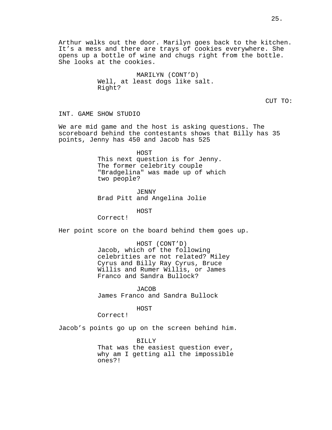MARILYN (CONT'D) Well, at least dogs like salt. Right?

CUT TO:

INT. GAME SHOW STUDIO

We are mid game and the host is asking questions. The scoreboard behind the contestants shows that Billy has 35 points, Jenny has 450 and Jacob has 525

> HOST This next question is for Jenny. The former celebrity couple "Bradgelina" was made up of which two people?

JENNY Brad Pitt and Angelina Jolie

HOST

Correct!

Her point score on the board behind them goes up.

HOST (CONT'D) Jacob, which of the following celebrities are not related? Miley Cyrus and Billy Ray Cyrus, Bruce Willis and Rumer Willis, or James Franco and Sandra Bullock?

JACOB James Franco and Sandra Bullock

HOST

Correct!

Jacob's points go up on the screen behind him.

BILLY That was the easiest question ever, why am I getting all the impossible ones?!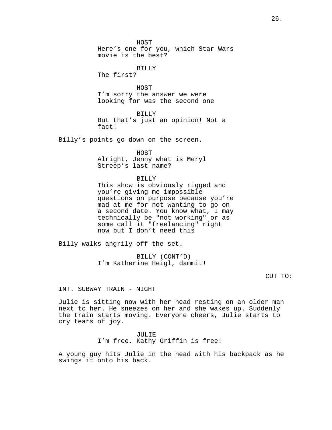HOST

Here's one for you, which Star Wars movie is the best?

BILLY

The first?

HOST I'm sorry the answer we were looking for was the second one

BILLY But that's just an opinion! Not a fact!

Billy's points go down on the screen.

HOST Alright, Jenny what is Meryl Streep's last name?

BILLY

This show is obviously rigged and you're giving me impossible questions on purpose because you're mad at me for not wanting to go on a second date. You know what, I may technically be "not working" or as some call it "freelancing" right now but I don't need this

Billy walks angrily off the set.

BILLY (CONT'D) I'm Katherine Heigl, dammit!

CUT TO:

INT. SUBWAY TRAIN - NIGHT

Julie is sitting now with her head resting on an older man next to her. He sneezes on her and she wakes up. Suddenly the train starts moving. Everyone cheers, Julie starts to cry tears of joy.

> JULIE I'm free. Kathy Griffin is free!

A young guy hits Julie in the head with his backpack as he swings it onto his back.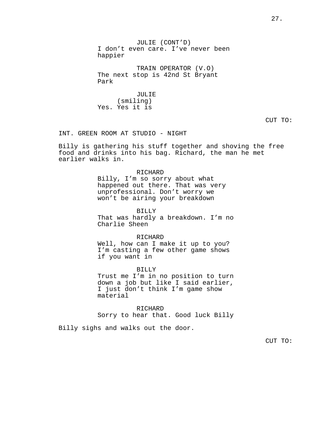JULIE (CONT'D) I don't even care. I've never been happier

TRAIN OPERATOR (V.O) The next stop is 42nd St Bryant Park

JULIE (smiling) Yes. Yes it is

CUT TO:

INT. GREEN ROOM AT STUDIO - NIGHT

Billy is gathering his stuff together and shoving the free food and drinks into his bag. Richard, the man he met earlier walks in.

> RICHARD Billy, I'm so sorry about what happened out there. That was very unprofessional. Don't worry we won't be airing your breakdown

BILLY That was hardly a breakdown. I'm no Charlie Sheen

RICHARD

Well, how can I make it up to you? I'm casting a few other game shows if you want in

BILLY Trust me I'm in no position to turn down a job but like I said earlier, I just don't think I'm game show material

RICHARD Sorry to hear that. Good luck Billy

Billy sighs and walks out the door.

CUT TO: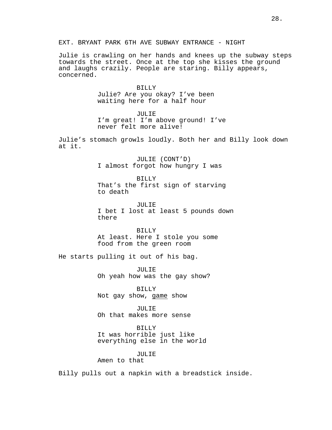Julie is crawling on her hands and knees up the subway steps towards the street. Once at the top she kisses the ground and laughs crazily. People are staring. Billy appears, concerned.

> **BILLY** Julie? Are you okay? I've been waiting here for a half hour

JULIE I'm great! I'm above ground! I've never felt more alive!

Julie's stomach growls loudly. Both her and Billy look down at it.

> JULIE (CONT'D) I almost forgot how hungry I was

BILLY That's the first sign of starving to death

JULIE I bet I lost at least 5 pounds down there

BILLY At least. Here I stole you some food from the green room

He starts pulling it out of his bag.

JULIE Oh yeah how was the gay show?

BILLY Not gay show, game show

JULIE Oh that makes more sense

BILLY It was horrible just like everything else in the world

# JULIE

Amen to that

Billy pulls out a napkin with a breadstick inside.